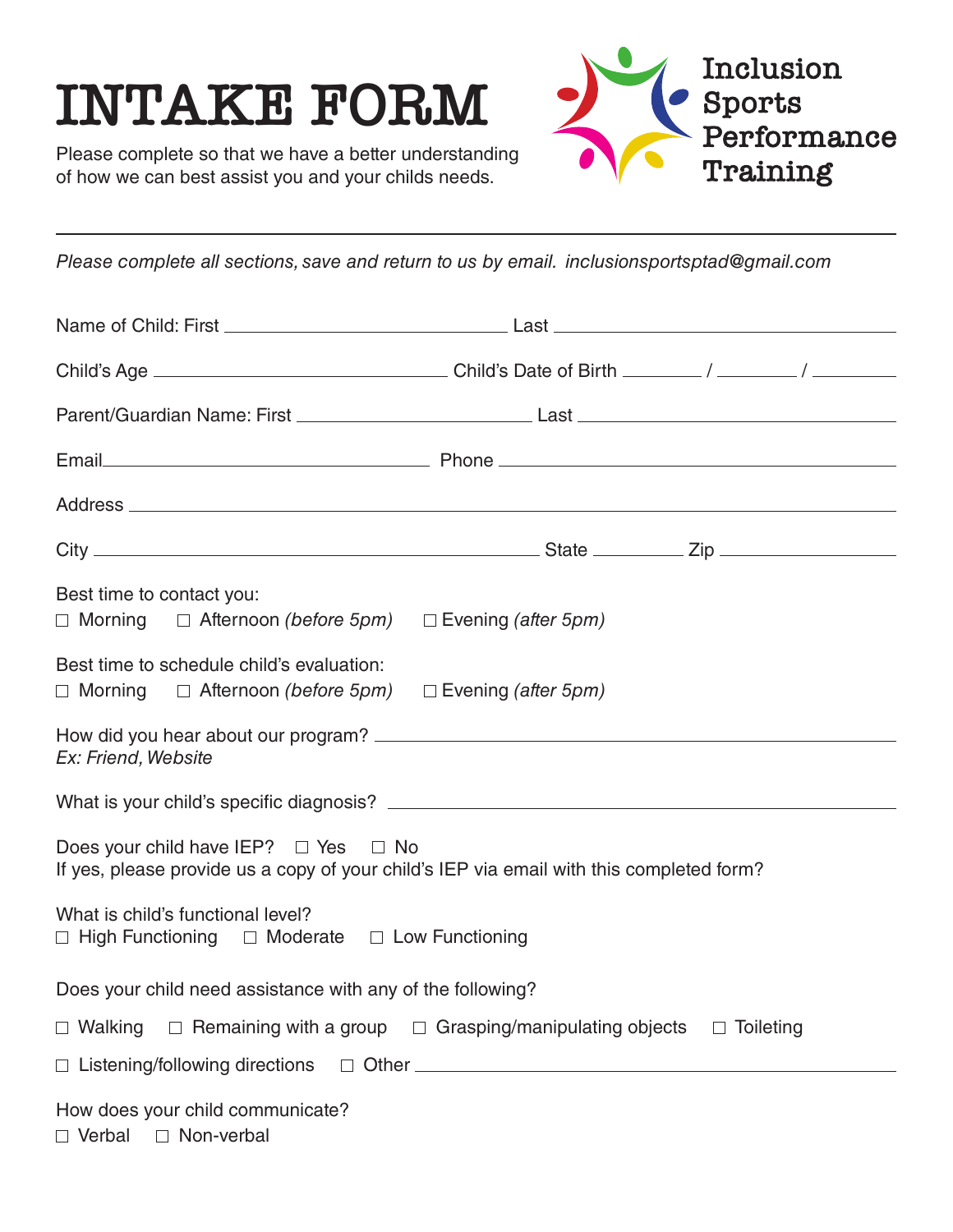## **INTAKE FORM**



Please complete so that we have a better understanding of how we can best assist you and your childs needs.

*Please complete all sections, save and return to us by email. inclusionsportsptad@gmail.com*

| Best time to contact you:<br>$\Box$ Morning $\Box$ Afternoon (before 5pm)                                                                  | $\Box$ Evening (after 5pm)                                                             |
|--------------------------------------------------------------------------------------------------------------------------------------------|----------------------------------------------------------------------------------------|
| Best time to schedule child's evaluation:<br>$\Box$ Morning $\Box$ Afternoon (before 5pm) $\Box$ Evening (after 5pm)                       |                                                                                        |
| Ex: Friend, Website                                                                                                                        |                                                                                        |
|                                                                                                                                            |                                                                                        |
| Does your child have IEP? $\Box$ Yes $\Box$ No<br>If yes, please provide us a copy of your child's IEP via email with this completed form? |                                                                                        |
| What is child's functional level?<br>$\Box$ High Functioning $\Box$ Moderate $\Box$ Low Functioning                                        |                                                                                        |
| Does your child need assistance with any of the following?                                                                                 |                                                                                        |
| $\Box$ Walking                                                                                                                             | $\Box$ Remaining with a group $\Box$ Grasping/manipulating objects<br>$\Box$ Toileting |
|                                                                                                                                            |                                                                                        |
| How does your child communicate?<br>□ Verbal □ Non-verbal                                                                                  |                                                                                        |